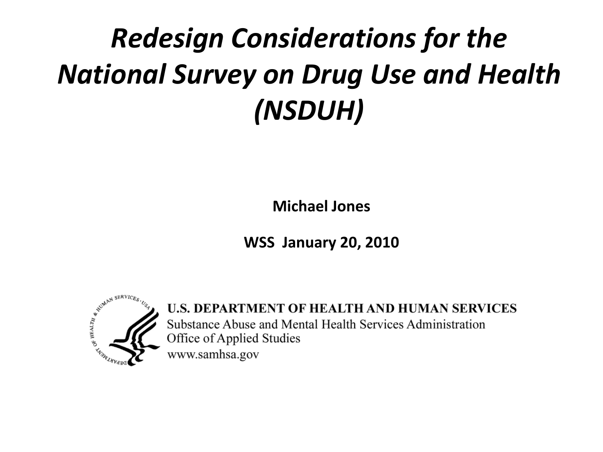#### *Redesign Considerations for the National Survey on Drug Use and Health (NSDUH)*

**Michael Jones**

**WSS January 20, 2010**



U.S. DEPARTMENT OF HEALTH AND HUMAN SERVICES Substance Abuse and Mental Health Services Administration Office of Applied Studies www.samhsa.gov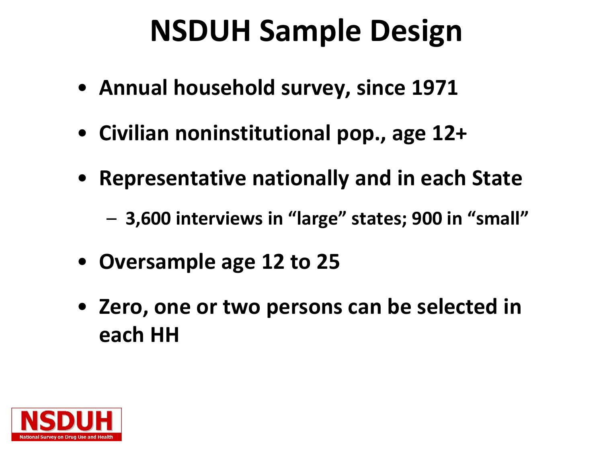#### **NSDUH Sample Design**

- **Annual household survey, since 1971**
- **Civilian noninstitutional pop., age 12+**
- **Representative nationally and in each State**
	- **3,600 interviews in "large" states; 900 in "small"**
- **Oversample age 12 to 25**
- **Zero, one or two persons can be selected in each HH**

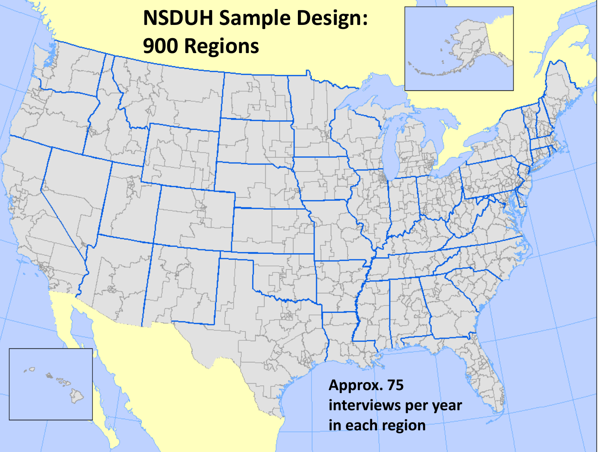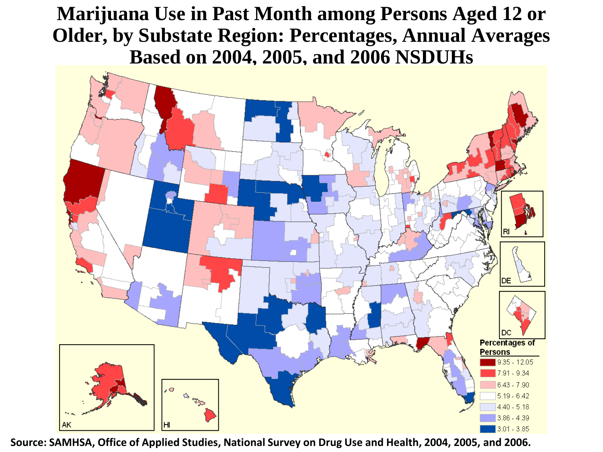**Marijuana Use in Past Month among Persons Aged 12 or Older, by Substate Region: Percentages, Annual Averages Based on 2004, 2005, and 2006 NSDUHs**



**Source: SAMHSA, Office of Applied Studies, National Survey on Drug Use and Health, 2004, 2005, and 2006.**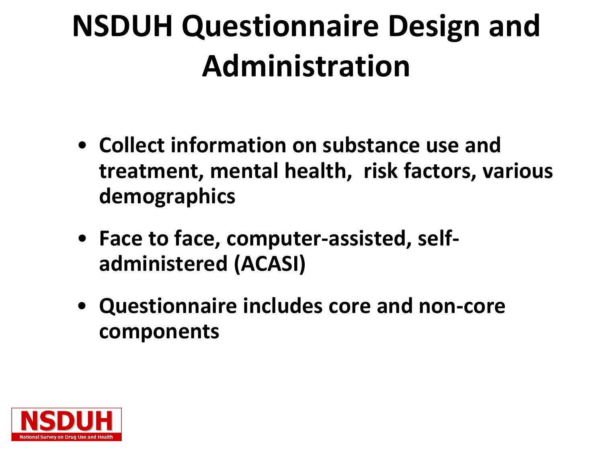# **NSDUH Questionnaire Design and Administration**

- **Collect information on substance use and treatment, mental health, risk factors, various demographics**
- **Face to face, computer-assisted, selfadministered (ACASI)**
- **Questionnaire includes core and non-core components**

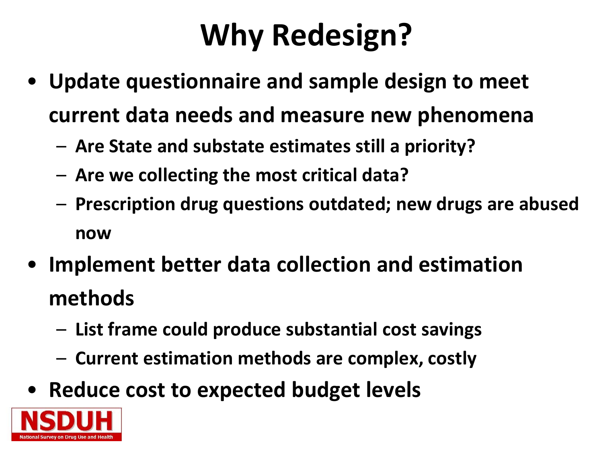## **Why Redesign?**

- **Update questionnaire and sample design to meet current data needs and measure new phenomena**
	- **Are State and substate estimates still a priority?**
	- **Are we collecting the most critical data?**
	- **Prescription drug questions outdated; new drugs are abused now**
- **Implement better data collection and estimation methods**
	- **List frame could produce substantial cost savings**
	- **Current estimation methods are complex, costly**
- **Reduce cost to expected budget levels**

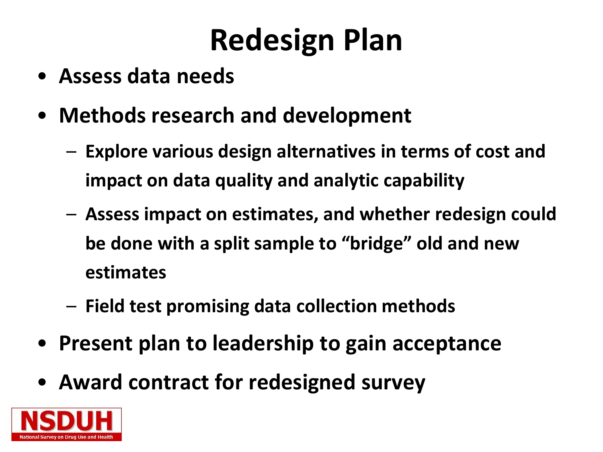# **Redesign Plan**

- **Assess data needs**
- **Methods research and development**
	- **Explore various design alternatives in terms of cost and impact on data quality and analytic capability**
	- **Assess impact on estimates, and whether redesign could be done with a split sample to "bridge" old and new estimates**
	- **Field test promising data collection methods**
- **Present plan to leadership to gain acceptance**
- **Award contract for redesigned survey**

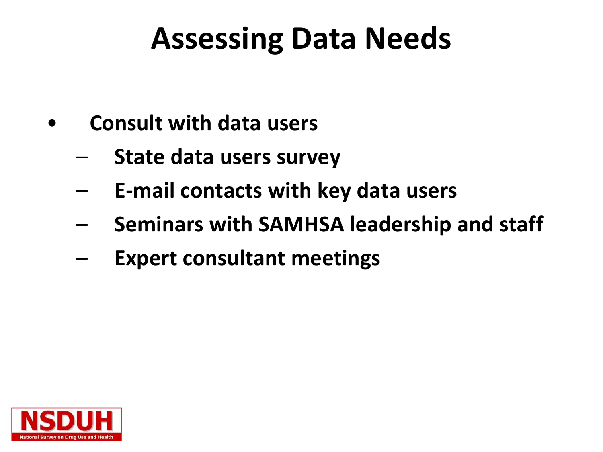### **Assessing Data Needs**

- **Consult with data users**
	- **State data users survey**
	- **E-mail contacts with key data users**
	- **Seminars with SAMHSA leadership and staff**
	- **Expert consultant meetings**

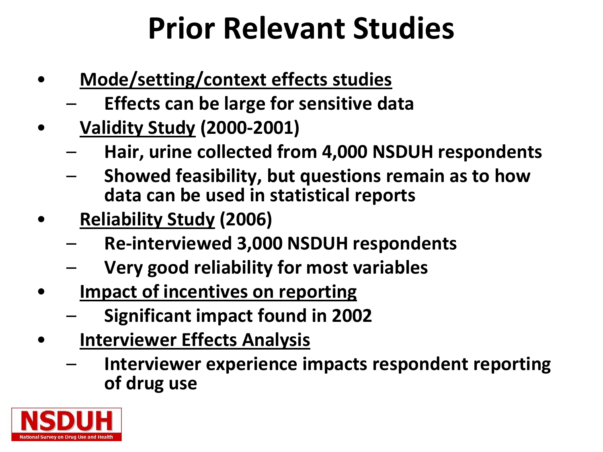### **Prior Relevant Studies**

- **Mode/setting/context effects studies**
	- **Effects can be large for sensitive data**
- **Validity Study (2000-2001)**
	- **Hair, urine collected from 4,000 NSDUH respondents**
	- **Showed feasibility, but questions remain as to how data can be used in statistical reports**
- **Reliability Study (2006)**
	- **Re-interviewed 3,000 NSDUH respondents**
	- **Very good reliability for most variables**
- **Impact of incentives on reporting** 
	- **Significant impact found in 2002**
- **Interviewer Effects Analysis**
	- **Interviewer experience impacts respondent reporting of drug use**

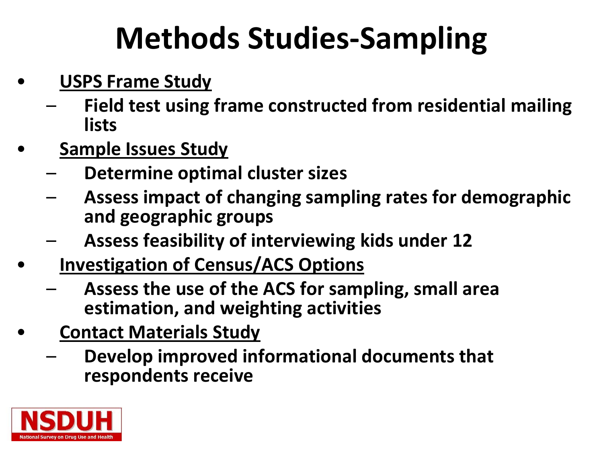## **Methods Studies-Sampling**

- **USPS Frame Study**
	- **Field test using frame constructed from residential mailing lists**
- **Sample Issues Study**
	- **Determine optimal cluster sizes**
	- **Assess impact of changing sampling rates for demographic and geographic groups**
	- **Assess feasibility of interviewing kids under 12**
- **Investigation of Census/ACS Options**
	- **Assess the use of the ACS for sampling, small area estimation, and weighting activities**
- **Contact Materials Study**
	- **Develop improved informational documents that respondents receive**

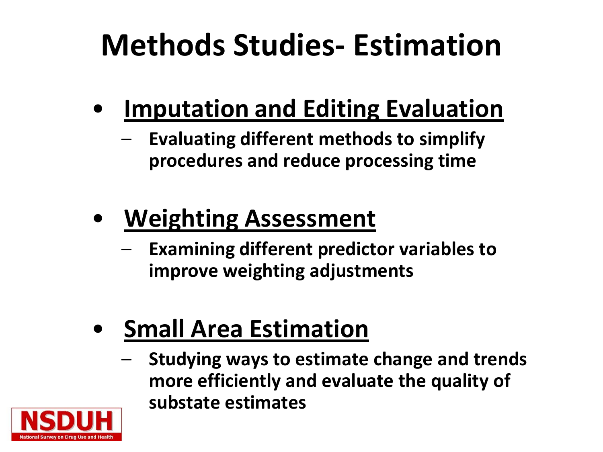## **Methods Studies- Estimation**

- **Imputation and Editing Evaluation**
	- **Evaluating different methods to simplify procedures and reduce processing time**

#### • **Weighting Assessment**

- **Examining different predictor variables to improve weighting adjustments**
- **Small Area Estimation**
	- **Studying ways to estimate change and trends more efficiently and evaluate the quality of substate estimates**

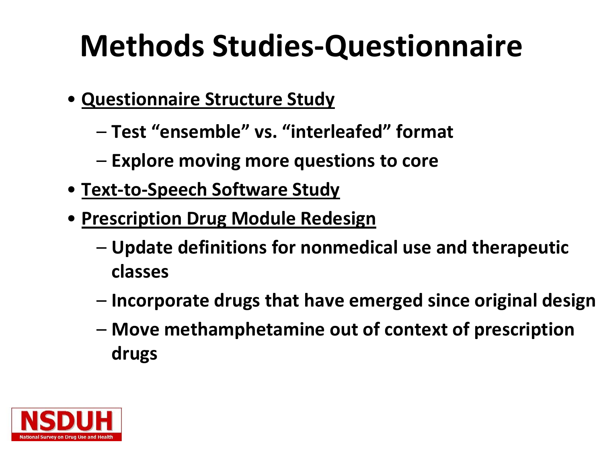### **Methods Studies-Questionnaire**

- **Questionnaire Structure Study** 
	- **Test "ensemble" vs. "interleafed" format**
	- **Explore moving more questions to core**
- **Text-to-Speech Software Study**
- **Prescription Drug Module Redesign**
	- **Update definitions for nonmedical use and therapeutic classes**
	- **Incorporate drugs that have emerged since original design**
	- **Move methamphetamine out of context of prescription drugs**

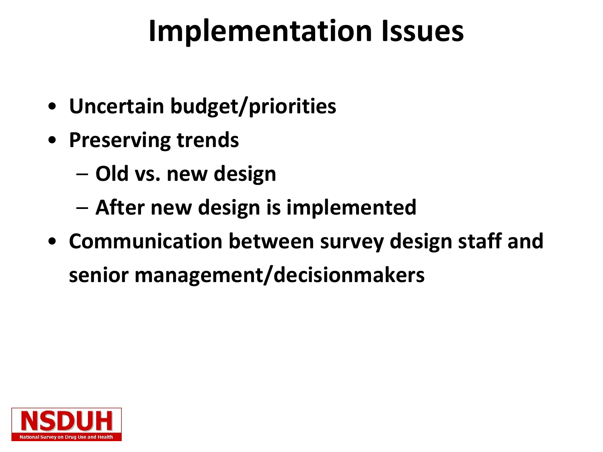#### **Implementation Issues**

- **Uncertain budget/priorities**
- **Preserving trends**
	- **Old vs. new design**
	- **After new design is implemented**
- **Communication between survey design staff and senior management/decisionmakers**